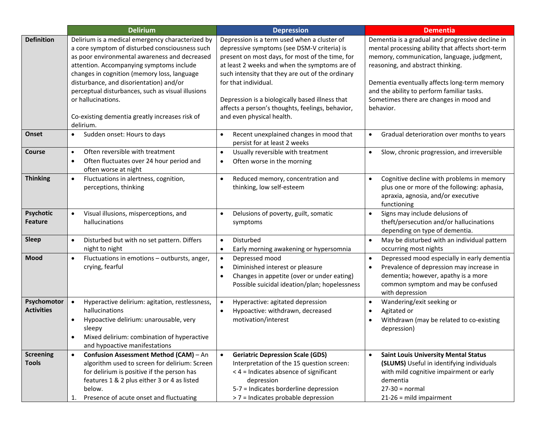|                                    | <b>Delirium</b>                                                                                                                                                                                                                                                                                                                                                                                                                     | <b>Depression</b>                                                                                                                                                                                                                                                                                                                                                                                              | <b>Dementia</b>                                                                                                                                                                                                                                                                                                                                |
|------------------------------------|-------------------------------------------------------------------------------------------------------------------------------------------------------------------------------------------------------------------------------------------------------------------------------------------------------------------------------------------------------------------------------------------------------------------------------------|----------------------------------------------------------------------------------------------------------------------------------------------------------------------------------------------------------------------------------------------------------------------------------------------------------------------------------------------------------------------------------------------------------------|------------------------------------------------------------------------------------------------------------------------------------------------------------------------------------------------------------------------------------------------------------------------------------------------------------------------------------------------|
| <b>Definition</b>                  | Delirium is a medical emergency characterized by<br>a core symptom of disturbed consciousness such<br>as poor environmental awareness and decreased<br>attention. Accompanying symptoms include<br>changes in cognition (memory loss, language<br>disturbance, and disorientation) and/or<br>perceptual disturbances, such as visual illusions<br>or hallucinations.<br>Co-existing dementia greatly increases risk of<br>delirium. | Depression is a term used when a cluster of<br>depressive symptoms (see DSM-V criteria) is<br>present on most days, for most of the time, for<br>at least 2 weeks and when the symptoms are of<br>such intensity that they are out of the ordinary<br>for that individual.<br>Depression is a biologically based illness that<br>affects a person's thoughts, feelings, behavior,<br>and even physical health. | Dementia is a gradual and progressive decline in<br>mental processing ability that affects short-term<br>memory, communication, language, judgment,<br>reasoning, and abstract thinking.<br>Dementia eventually affects long-term memory<br>and the ability to perform familiar tasks.<br>Sometimes there are changes in mood and<br>behavior. |
| Onset                              | Sudden onset: Hours to days                                                                                                                                                                                                                                                                                                                                                                                                         | Recent unexplained changes in mood that<br>$\bullet$<br>persist for at least 2 weeks                                                                                                                                                                                                                                                                                                                           | Gradual deterioration over months to years<br>$\bullet$                                                                                                                                                                                                                                                                                        |
| Course                             | Often reversible with treatment<br>$\bullet$<br>Often fluctuates over 24 hour period and<br>$\bullet$<br>often worse at night                                                                                                                                                                                                                                                                                                       | Usually reversible with treatment<br>$\bullet$<br>Often worse in the morning<br>$\bullet$                                                                                                                                                                                                                                                                                                                      | Slow, chronic progression, and irreversible<br>$\bullet$                                                                                                                                                                                                                                                                                       |
| <b>Thinking</b>                    | Fluctuations in alertness, cognition,<br>$\bullet$<br>perceptions, thinking                                                                                                                                                                                                                                                                                                                                                         | Reduced memory, concentration and<br>$\bullet$<br>thinking, low self-esteem                                                                                                                                                                                                                                                                                                                                    | Cognitive decline with problems in memory<br>$\bullet$<br>plus one or more of the following: aphasia,<br>apraxia, agnosia, and/or executive<br>functioning                                                                                                                                                                                     |
| <b>Psychotic</b><br><b>Feature</b> | Visual illusions, misperceptions, and<br>$\bullet$<br>hallucinations                                                                                                                                                                                                                                                                                                                                                                | Delusions of poverty, guilt, somatic<br>$\bullet$<br>symptoms                                                                                                                                                                                                                                                                                                                                                  | Signs may include delusions of<br>theft/persecution and/or hallucinations<br>depending on type of dementia.                                                                                                                                                                                                                                    |
| <b>Sleep</b>                       | Disturbed but with no set pattern. Differs<br>$\bullet$<br>night to night                                                                                                                                                                                                                                                                                                                                                           | Disturbed<br>$\bullet$<br>Early morning awakening or hypersomnia<br>$\bullet$                                                                                                                                                                                                                                                                                                                                  | May be disturbed with an individual pattern<br>$\bullet$<br>occurring most nights                                                                                                                                                                                                                                                              |
| <b>Mood</b>                        | Fluctuations in emotions - outbursts, anger,<br>$\bullet$<br>crying, fearful                                                                                                                                                                                                                                                                                                                                                        | Depressed mood<br>$\bullet$<br>Diminished interest or pleasure<br>$\bullet$<br>Changes in appetite (over or under eating)<br>$\bullet$<br>Possible suicidal ideation/plan; hopelessness                                                                                                                                                                                                                        | Depressed mood especially in early dementia<br>$\bullet$<br>Prevalence of depression may increase in<br>dementia; however, apathy is a more<br>common symptom and may be confused<br>with depression                                                                                                                                           |
| Psychomotor<br><b>Activities</b>   | Hyperactive delirium: agitation, restlessness,<br>$\bullet$<br>hallucinations<br>Hypoactive delirium: unarousable, very<br>$\bullet$<br>sleepy<br>Mixed delirium: combination of hyperactive<br>and hypoactive manifestations                                                                                                                                                                                                       | Hyperactive: agitated depression<br>$\bullet$<br>Hypoactive: withdrawn, decreased<br>$\bullet$<br>motivation/interest                                                                                                                                                                                                                                                                                          | Wandering/exit seeking or<br>Agitated or<br>Withdrawn (may be related to co-existing<br>depression)                                                                                                                                                                                                                                            |
| <b>Screening</b><br><b>Tools</b>   | Confusion Assessment Method (CAM) - An<br>$\bullet$<br>algorithm used to screen for delirium: Screen<br>for delirium is positive if the person has<br>features 1 & 2 plus either 3 or 4 as listed<br>below.<br>Presence of acute onset and fluctuating<br>1.                                                                                                                                                                        | <b>Geriatric Depression Scale (GDS)</b><br>$\bullet$<br>Interpretation of the 15 question screen:<br>< 4 = Indicates absence of significant<br>depression<br>5-7 = Indicates borderline depression<br>> 7 = Indicates probable depression                                                                                                                                                                      | <b>Saint Louis University Mental Status</b><br>$\bullet$<br>(SLUMS) Useful in identifying individuals<br>with mild cognitive impairment or early<br>dementia<br>$27-30 = normal$<br>$21-26$ = mild impairment                                                                                                                                  |